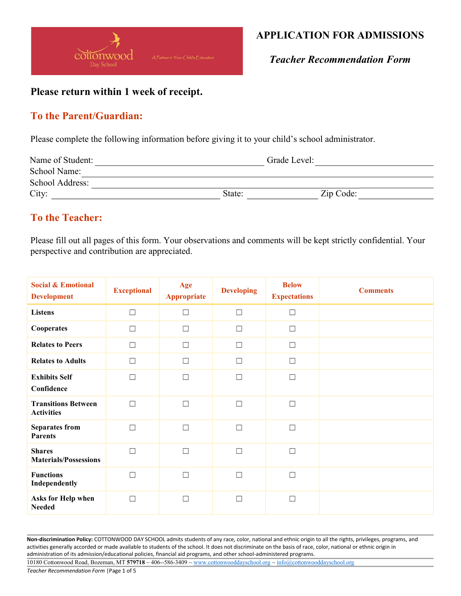

Teacher Recommendation Form

### Please return within 1 week of receipt.

## To the Parent/Guardian:

Please complete the following information before giving it to your child's school administrator.

| Name of Student: |        | Grade Level: |  |  |
|------------------|--------|--------------|--|--|
| School Name:     |        |              |  |  |
| School Address:  |        |              |  |  |
| City:            | State: | Zip Code:    |  |  |

#### To the Teacher:

Please fill out all pages of this form. Your observations and comments will be kept strictly confidential. Your perspective and contribution are appreciated.

| <b>Social &amp; Emotional</b><br><b>Development</b> | <b>Exceptional</b> | Age<br><b>Appropriate</b> | <b>Developing</b> | <b>Below</b><br><b>Expectations</b> | <b>Comments</b> |
|-----------------------------------------------------|--------------------|---------------------------|-------------------|-------------------------------------|-----------------|
| <b>Listens</b>                                      | П                  | $\Box$                    | $\Box$            | $\Box$                              |                 |
| Cooperates                                          | $\Box$             | $\Box$                    | $\Box$            | $\Box$                              |                 |
| <b>Relates to Peers</b>                             | П                  | $\Box$                    | $\Box$            | П                                   |                 |
| <b>Relates to Adults</b>                            | □                  | $\Box$                    | $\Box$            | □                                   |                 |
| <b>Exhibits Self</b><br>Confidence                  | П                  | $\Box$                    | $\Box$            | $\Box$                              |                 |
| <b>Transitions Between</b><br><b>Activities</b>     | П                  | $\Box$                    | $\Box$            | $\Box$                              |                 |
| <b>Separates from</b><br><b>Parents</b>             | П                  | П                         | $\Box$            | $\Box$                              |                 |
| <b>Shares</b><br><b>Materials/Possessions</b>       | П                  | $\Box$                    | $\Box$            | $\Box$                              |                 |
| <b>Functions</b><br>Independently                   | П                  | $\Box$                    | $\Box$            | $\Box$                              |                 |
| Asks for Help when<br><b>Needed</b>                 | П                  | $\Box$                    | $\Box$            | $\Box$                              |                 |

Non-discrimination Policy: COTTONWOOD DAY SCHOOL admits students of any race, color, national and ethnic origin to all the rights, privileges, programs, and activities generally accorded or made available to students of the school. It does not discriminate on the basis of race, color, national or ethnic origin in administration of its admission/educational policies, financial aid programs, and other school-administered programs.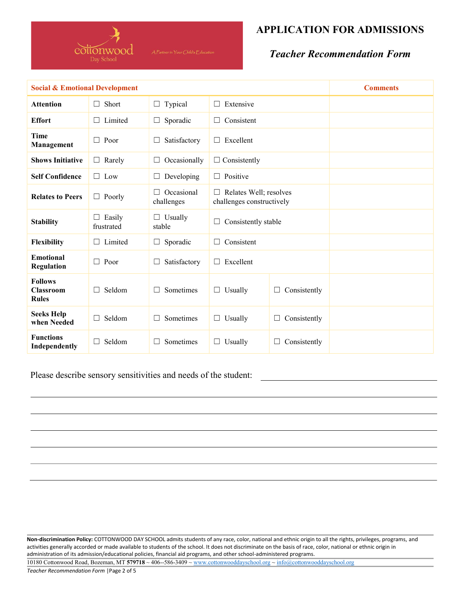

#### Teacher Recommendation Form

| <b>Social &amp; Emotional Development</b>          | <b>Comments</b>           |                               |                                                            |                        |  |
|----------------------------------------------------|---------------------------|-------------------------------|------------------------------------------------------------|------------------------|--|
| <b>Attention</b>                                   | Short                     | $\Box$ Typical                | Extensive<br>$\Box$                                        |                        |  |
| <b>Effort</b>                                      | Limited                   | Sporadic<br>$\Box$            | Consistent<br>$\Box$                                       |                        |  |
| <b>Time</b><br>Management                          | Poor<br>$\Box$            | Satisfactory<br>□             | $\Box$ Excellent                                           |                        |  |
| <b>Shows Initiative</b>                            | $\Box$ Rarely             | Occasionally<br>$\Box$        | $\Box$ Consistently                                        |                        |  |
| <b>Self Confidence</b>                             | $\Box$ Low                | Developing<br>⊔               | $\Box$ Positive                                            |                        |  |
| <b>Relates to Peers</b>                            | $\Box$ Poorly             | Occasional<br>П<br>challenges | $\Box$ Relates Well; resolves<br>challenges constructively |                        |  |
| <b>Stability</b>                                   | Easily<br>ப<br>frustrated | $\Box$ Usually<br>stable      | Consistently stable<br>□                                   |                        |  |
| <b>Flexibility</b>                                 | Limited                   | $\Box$ Sporadic               | Consistent<br>$\Box$                                       |                        |  |
| <b>Emotional</b><br><b>Regulation</b>              | $\Box$ Poor               | Satisfactory<br>$\Box$        | $\Box$ Excellent                                           |                        |  |
| <b>Follows</b><br><b>Classroom</b><br><b>Rules</b> | Seldom                    | Sometimes<br>$\Box$           | Usually<br>$\Box$                                          | Consistently<br>$\Box$ |  |
| <b>Seeks Help</b><br>when Needed                   | Seldom                    | Sometimes<br>□                | Usually<br>$\Box$                                          | Consistently<br>$\Box$ |  |
| <b>Functions</b><br>Independently                  | Seldom                    | Sometimes<br>$\Box$           | Usually<br>$\Box$                                          | Consistently<br>⊔      |  |

Please describe sensory sensitivities and needs of the student:

Non-discrimination Policy: COTTONWOOD DAY SCHOOL admits students of any race, color, national and ethnic origin to all the rights, privileges, programs, and activities generally accorded or made available to students of the school. It does not discriminate on the basis of race, color, national or ethnic origin in administration of its admission/educational policies, financial aid programs, and other school-administered programs.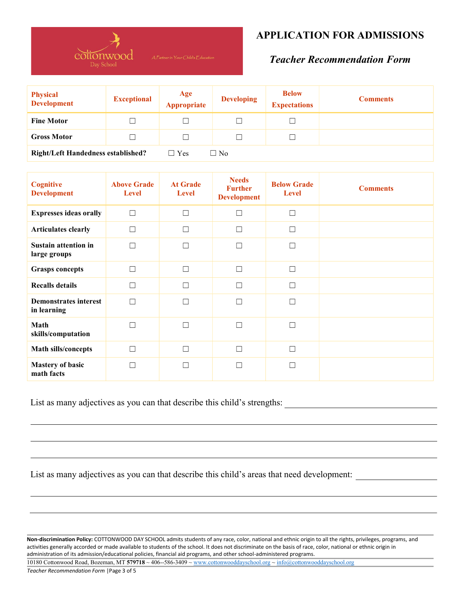

## Teacher Recommendation Form

| <b>Physical</b><br><b>Development</b>     | <b>Exceptional</b> | Age<br>Appropriate | <b>Developing</b> | <b>Below</b><br><b>Expectations</b> | <b>Comments</b> |
|-------------------------------------------|--------------------|--------------------|-------------------|-------------------------------------|-----------------|
| <b>Fine Motor</b>                         |                    |                    |                   |                                     |                 |
| <b>Gross Motor</b>                        |                    |                    |                   |                                     |                 |
| <b>Right/Left Handedness established?</b> |                    | $\Box$ Yes         | $\square$ No      |                                     |                 |

| <b>Cognitive</b><br><b>Development</b>      | <b>Above Grade</b><br><b>Level</b> | <b>At Grade</b><br><b>Level</b> | <b>Needs</b><br><b>Further</b><br><b>Development</b> | <b>Below Grade</b><br><b>Level</b> | <b>Comments</b> |
|---------------------------------------------|------------------------------------|---------------------------------|------------------------------------------------------|------------------------------------|-----------------|
| <b>Expresses ideas orally</b>               | $\Box$                             | П                               | $\Box$                                               | г                                  |                 |
| <b>Articulates clearly</b>                  | П                                  | П                               | П                                                    | Г                                  |                 |
| <b>Sustain attention in</b><br>large groups | П                                  | $\mathcal{A}$                   | $\Box$                                               | Г                                  |                 |
| <b>Grasps</b> concepts                      | П                                  | П                               | П                                                    | $\Box$                             |                 |
| <b>Recalls details</b>                      | П                                  | П                               | П                                                    | Г                                  |                 |
| <b>Demonstrates interest</b><br>in learning | П                                  | $\mathcal{A}$                   | $\Box$                                               | Г                                  |                 |
| Math<br>skills/computation                  | П                                  | П                               | П                                                    | Г                                  |                 |
| <b>Math sills/concepts</b>                  | П                                  | П                               | $\Box$                                               | П                                  |                 |
| <b>Mastery of basic</b><br>math facts       | П                                  | ┌┐                              | П                                                    | Г                                  |                 |

List as many adjectives as you can that describe this child's strengths:

List as many adjectives as you can that describe this child's areas that need development:

Non-discrimination Policy: COTTONWOOD DAY SCHOOL admits students of any race, color, national and ethnic origin to all the rights, privileges, programs, and activities generally accorded or made available to students of the school. It does not discriminate on the basis of race, color, national or ethnic origin in administration of its admission/educational policies, financial aid programs, and other school-administered programs.

10180 Cottonwood Road, Bozeman, MT 579718 ~ 406-‐586-3409 ~ www.cottonwooddayschool.org ~ info@cottonwooddayschool.org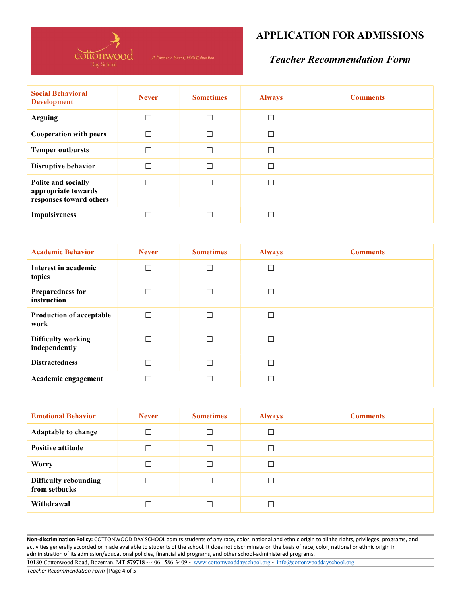

## Teacher Recommendation Form

| <b>Social Behavioral</b><br><b>Development</b>                        | <b>Never</b> | <b>Sometimes</b> | <b>Always</b> | <b>Comments</b> |
|-----------------------------------------------------------------------|--------------|------------------|---------------|-----------------|
| <b>Arguing</b>                                                        | П            | П                |               |                 |
| <b>Cooperation with peers</b>                                         |              | $\Box$           |               |                 |
| <b>Temper outbursts</b>                                               |              | П                |               |                 |
| <b>Disruptive behavior</b>                                            |              | П                |               |                 |
| Polite and socially<br>appropriate towards<br>responses toward others |              | П                |               |                 |
| <b>Impulsiveness</b>                                                  |              | П                |               |                 |

| <b>Academic Behavior</b>                   | <b>Never</b> | <b>Sometimes</b> | <b>Always</b> | <b>Comments</b> |
|--------------------------------------------|--------------|------------------|---------------|-----------------|
| Interest in academic<br>topics             |              | ┑                |               |                 |
| <b>Preparedness for</b><br>instruction     |              | ┑                |               |                 |
| <b>Production of acceptable</b><br>work    |              | ┑                |               |                 |
| <b>Difficulty working</b><br>independently |              | □                |               |                 |
| <b>Distractedness</b>                      |              | □                |               |                 |
| Academic engagement                        |              | ┑                |               |                 |

| <b>Emotional Behavior</b>                     | <b>Never</b> | <b>Sometimes</b> | <b>Always</b> | <b>Comments</b> |
|-----------------------------------------------|--------------|------------------|---------------|-----------------|
| <b>Adaptable to change</b>                    |              | П                |               |                 |
| <b>Positive attitude</b>                      |              | ┑                |               |                 |
| <b>Worry</b>                                  |              | $\blacksquare$   |               |                 |
| <b>Difficulty rebounding</b><br>from setbacks |              | ┑                |               |                 |
| Withdrawal                                    |              |                  |               |                 |

Non-discrimination Policy: COTTONWOOD DAY SCHOOL admits students of any race, color, national and ethnic origin to all the rights, privileges, programs, and activities generally accorded or made available to students of the school. It does not discriminate on the basis of race, color, national or ethnic origin in administration of its admission/educational policies, financial aid programs, and other school-administered programs.

10180 Cottonwood Road, Bozeman, MT 579718 ~ 406-‐586-3409 ~ www.cottonwooddayschool.org ~ info@cottonwooddayschool.org